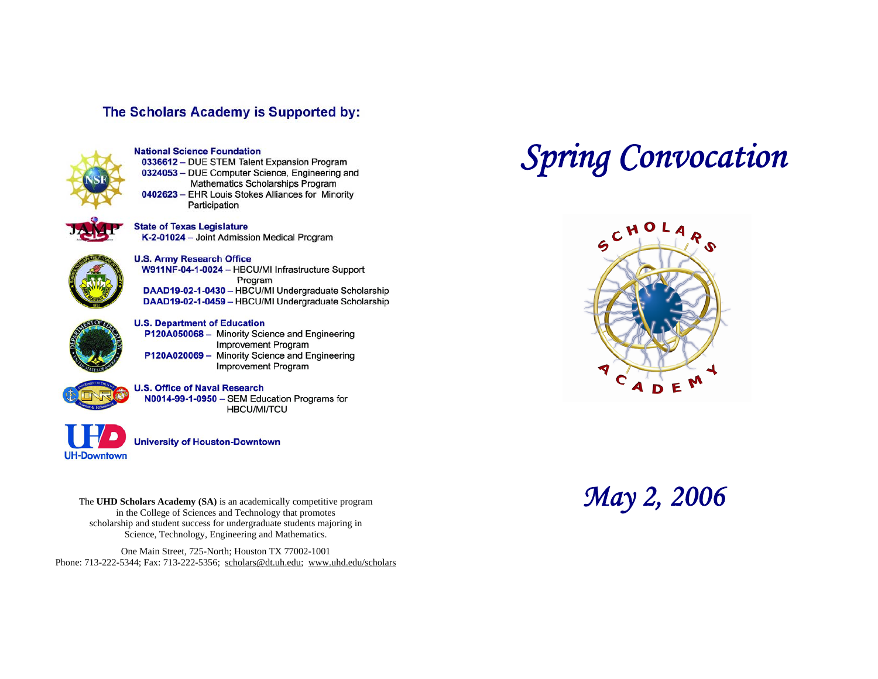## The Scholars Academy is Supported by:



### **National Science Foundation**

0336612 - DUE STEM Talent Expansion Program 0324053 - DUE Computer Science, Engineering and Mathematics Scholarships Program 0402623 - EHR Louis Stokes Alliances for Minority Participation



### **State of Texas Legislature**

K-2-01024 - Joint Admission Medical Program



# **U.S. Army Research Office**

W911NF-04-1-0024 - HBCU/MI Infrastructure Support Program DAAD19-02-1-0430 - HBCU/MI Undergraduate Scholarship DAAD19-02-1-0459 - HBCU/MI Undergraduate Scholarship



### **U.S. Department of Education**

P120A050068 - Minority Science and Engineering **Improvement Program** P120A020069 - Minority Science and Engineering **Improvement Program** 

### **U.S. Office of Naval Research**

N0014-99-1-0950 - SEM Education Programs for **HBCU/MI/TCU** 



**University of Houston-Downtown** 

The UHD Scholars Academy (SA) is an academically competitive program **May 2, 2006** in the College of Sciences and Technology that promotes scholarship and student success for undergraduate students majoring in Science, Technology, Engineering and Mathematics.

One Main Street, 725-North; Houston TX 77002-1001 Phone: 713-222-5344; Fax: 713-222-5356; [scholars@dt.uh.edu](mailto:scholars@dt.uh.edu); <www.uhd.edu/scholars>

# *Spring Convocation*

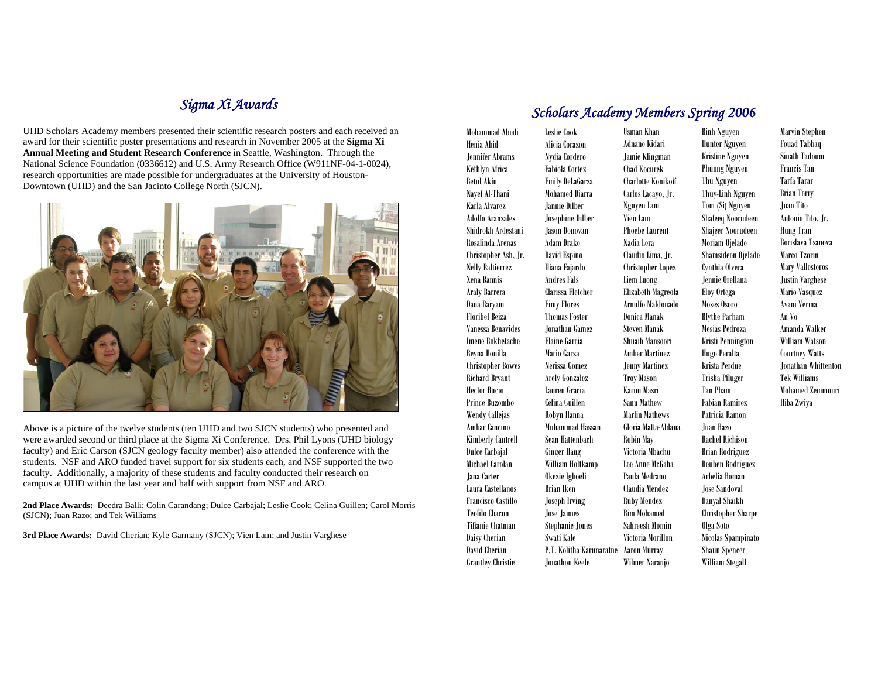# *Sigma Xi Awards*

UHD Scholars Academy members presented their scientific research posters and each received an award for their scientific poster presentations and research in November 2005 at the **Sigma Xi Annual Meeting and Student Research Conference** in Seattle, Washington. Through the National Science Foundation (0336612) and U.S. Army Research Office (W911NF-04-1-0024), research opportunities are made possible for undergraduates at the University of Houston-Downtown (UHD) and the San Jacinto College North (SJCN).



Above is a picture of the twelve students (ten UHD and two SJCN students) who presented and were awarded second or third place at the Sigma Xi Conference. Drs. Phil Lyons (UHD biology faculty) and Eric Carson (SJCN geology faculty member) also attended the conference with the students. NSF and ARO funded travel support for six students each, and NSF supported the two faculty. Additionally, a majority of these students and faculty conducted their research on campus at UHD within the last year and half with support from NSF and ARO.

**2nd Place Awards:** Deedra Balli; Colin Carandang; Dulce Carbajal; Leslie Cook; Celina Guillen; Carol Morris (SJCN); Juan Razo; and Tek Williams

**3rd Place Awards:** David Cherian; Kyle Garmany (SJCN); Vien Lam; and Justin Varghese

# *Scholars Academy Members Spring 2006*

Mohammad Abedi Henia Abid Jennifer Abrams Kethlyn Africa Betul Akin Nayef Al-Thani Karla Alvarez Adolfo Aranzales Shidrokh Ardestani Rosalinda Arenas Christopher Ash, Jr. Nelly Baltierrez Xena Bannis Araly Barrera Dana Baryam Floribel Beiza Vanessa Benavides Imene Bokhetache Reyna Bonilla Christopher Bowes Richard Bryant Hector Bucio Prince Buzombo Wendy Callejas Ambar Cancino Kimberly Cantrell Dulce Carbajal Michael Carolan Jana Carter Laura Castellanos Francisco Castillo Teofilo Chacon Tiffanie Chatman Daisy Cherian David Cherian Grantley Christie Brian Iken Swati Kale Jonathon Keele

Leslie Cook Alicia Corazon Nydia Cordero Fabiola Cortez Emily DeLaGarza Mohamed Diarra Jannie Dilber Josephine Dilber Jason Donovan Adam Drake David Espino Iliana Fajardo Andres Fals Clarissa Fletcher Eimy Flores Thomas Foster Jonathan Gamez Elaine Garcia Mario Garza Nerissa Gomez Arely Gonzalez Lauren Gracia Celina Guillen Robyn Hanna Muhammad Hassan Sean Hattenbach Ginger Haug William Holtkamp Okezie Igboeli Joseph Irving Jose Jaimes Stephanie Jones P.T. Kolitha Karunaratne Aaron Murray Usman Khan Adnane Kidari Jamie Klingman Chad Kocurek Charlotte Konikoff Carlos Lacayo, Jr. Nguyen Lam Vien Lam Phoebe Laurent Nadia Lera Claudio Lima, Jr. Christopher Lopez Liem Luong Elizabeth Magreola Arnulfo Maldonado Donica Manak Steven Manak Shuaib Mansoori Amber Martinez Jenny Martinez Troy Mason Karim Masri Sanu Mathew Marlin Mathews Gloria Matta-Aldana Robin May Victoria Mbachu Lee Anne McGaha Paula Medrano Claudia Mendez Ruby Mendez Rim Mohamed Sahreesh Momin Victoria Morillon Wilmer Naranjo

Binh Nguyen Hunter Nguyen Kristine Nguyen Phuong Nguyen Thu Nguyen Thuy-Linh Nguyen Tom (Si) Nguyen Shafeeq Noorudeen Shajeer Noorudeen Moriam Ojelade Shamsideen Ojelade Cynthia Olvera Jennie Orellana Eloy Ortega Moses Osoro Blythe Parham Mesias Pedroza Kristi Pennington Hugo Peralta Krista Perdue Trisha Pfluger Tan Pham Fabian Ramirez Patricia Ramon Juan Razo Rachel Richison Brian Rodriguez Reuben Rodriguez Arbelia Roman Jose Sandoval Danyal Shaikh Christopher Sharpe Olga Soto Nicolas Spampinato

Shaun Spencer William Stegall Marvin Stephen Fouad Tabbaq Sinath Tadoum Francis Tan Tarfa Tarar Brian Terry Juan Tito Antonio Tito, Jr. Hung Tran Borislava Tsanova Marco Tzorin Mary Vallesteros Justin Varghese Mario Vasquez Avani Verma An Vo Amanda Walker William Watson Courtney Watts Jonathan Whittenton Tek Williams Mohamed Zemmouri Hiba Zwiya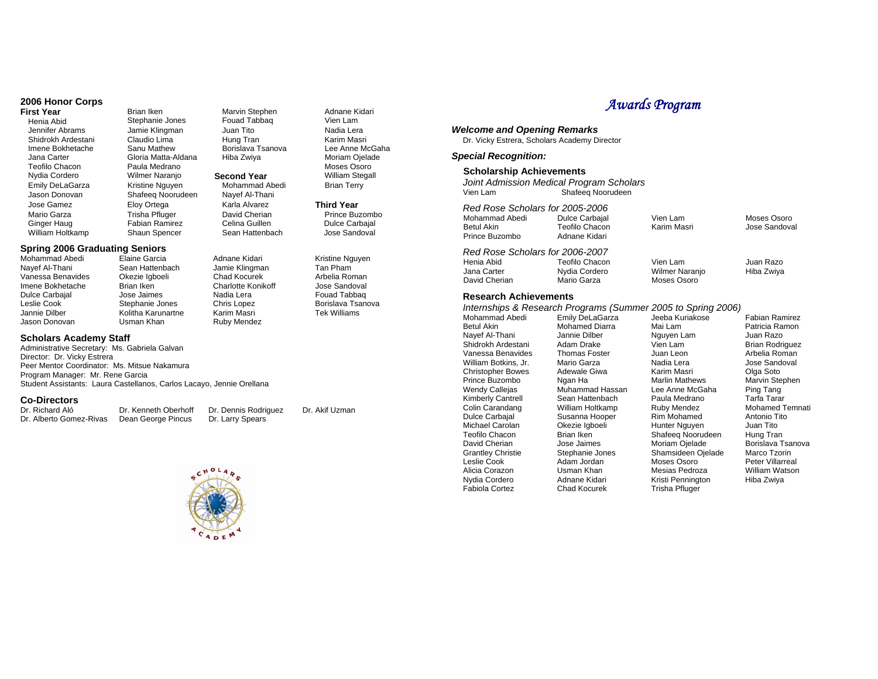# **2006 Honor Corps**

Henia Abid **Stephanie Jones** Fouad Ta<br>Jennifer Abrams Jamie Klingman Juan Tito

Shidrokh Ardestani Claudio Lima<br>Imene Bokhetache Sanu Mathew Jana Carter **Gloria Matta-Aldana** Hiba Zwiya<br>Teofilo Chacon Paula Medrano Nydia Cordero Wilmer Naranjo **Second Year**  Emily DeLaGarza Kristine Nguyen Mohammad Abedi<br>Jason Donovan Shafeeq Noorudeen Navef Al-Thani Jose Gamez **Eloy Ortega** Karla Alvarez Mario Garza Trisha Pfluger David Cherian William Holtkamp

# **Spring 2006 Graduating Seniors**

- Nayef Al-Thani Sean Hattenbach Jamie Klingmann Jamie Klingmann Sean Hattenbach Jamie Klingmann Vanessa Benavid Vanessa Benavides Okezie Igboeli Chad Kocurek Imene Bokhetache Dulce Carbajal **Jose Jaimes** Nadia Lera Leslie Cook Stephanie Jones Chris Lopez Jason Donovan **Usman Khan**
- Mohammad Abedi Elaine Garcia Adnane Kidari Jamie Klingman Kolitha Karunartne

Ruby Mendez

Fabian Ramirez Celina Guillen<br>Shaun Spencer Sean Hattenbach

**Firan Iken Marvin Stephen<br>
Stephanie Jones Fouad Tabbag** 

Borislava Tsanova

Jamie Klingman Juan Tito<br>Claudio Lima Hung Tran

Paula Medrano

Shafeeq Noorudeen

### **Scholars Academy Staff**

Administrative Secretary: Ms. Gabriela Galvan Director: Dr. Vicky Estrera Peer Mentor Coordinator: Ms. Mitsue Nakamura Program Manager: Mr. Rene Garcia Student Assistants: Laura Castellanos, Carlos Lacayo, Jennie Orellana

### **Co-Directors**

Dr. Richard Aló Dr. Kenneth Oberhoff Dr. Dennis Rodriguez Dr. Alberto Gomez-Rivas



Adnane Kidari Vien Lam Nadia Lera Karim Masri Lee Anne McGaha Moriam Ojelade Moses Osoro William Stegall Brian Terry

**Third Year** Prince Buzombo Dulce Carbajal Jose Sandoval

Kristine Nguyen Tan Pham Arbelia Roman Jose Sandoval Fouad Tabbaq Borislava Tsanova Tek Williams

Dr. Akif Uzman

# *Awards Program*

# *Welcome and Opening Remarks*

Dr. Vicky Estrera, Scholars Academy Director

### *Special Recognition:*

### **Scholarship Achievements**

| Vien Lam                                                                                                                                                                                                                                                                                                     | Joint Admission Medical Program Scholars<br>Shafeeg Noorudeen                                                                                                                                                                                         |                                                                                                                                                                                                                                 |                                                                                                                                                                                                                                      |  |  |
|--------------------------------------------------------------------------------------------------------------------------------------------------------------------------------------------------------------------------------------------------------------------------------------------------------------|-------------------------------------------------------------------------------------------------------------------------------------------------------------------------------------------------------------------------------------------------------|---------------------------------------------------------------------------------------------------------------------------------------------------------------------------------------------------------------------------------|--------------------------------------------------------------------------------------------------------------------------------------------------------------------------------------------------------------------------------------|--|--|
| Red Rose Scholars for 2005-2006<br>Mohammad Abedi<br><b>Betul Akin</b><br>Prince Buzombo                                                                                                                                                                                                                     | <b>Dulce Carbajal</b><br>Teofilo Chacon<br>Adnane Kidari                                                                                                                                                                                              | Vien Lam<br>Karim Masri                                                                                                                                                                                                         | Moses Osoro<br>Jose Sandoval                                                                                                                                                                                                         |  |  |
| Red Rose Scholars for 2006-2007<br>Henia Abid<br>Jana Carter<br>David Cherian                                                                                                                                                                                                                                | <b>Teofilo Chacon</b><br>Nydia Cordero<br>Mario Garza                                                                                                                                                                                                 | Vien Lam<br><b>Wilmer Naranjo</b><br>Moses Osoro                                                                                                                                                                                | Juan Razo<br>Hiba Zwiya                                                                                                                                                                                                              |  |  |
| <b>Research Achievements</b><br>Internships & Research Programs (Summer 2005 to Spring 2006)                                                                                                                                                                                                                 |                                                                                                                                                                                                                                                       |                                                                                                                                                                                                                                 |                                                                                                                                                                                                                                      |  |  |
| Mohammad Abedi<br>Betul Akin<br>Nayef Al-Thani<br>Shidrokh Ardestani<br>Vanessa Benavides<br>William Botkins, Jr.<br><b>Christopher Bowes</b><br>Prince Buzombo<br><b>Wendy Callejas</b><br><b>Kimberly Cantrell</b><br>Colin Carandang<br><b>Dulce Carbajal</b><br>Michael Carolan<br><b>Teofilo Chacon</b> | Emily DeLaGarza<br><b>Mohamed Diarra</b><br>Jannie Dilber<br>Adam Drake<br><b>Thomas Foster</b><br>Mario Garza<br>Adewale Giwa<br>Ngan Ha<br>Muhammad Hassan<br>Sean Hattenbach<br>William Holtkamp<br>Susanna Hooper<br>Okezie Igboeli<br>Brian Iken | Jeeba Kuriakose<br>Mai Lam<br>Nguyen Lam<br>Vien Lam<br>Juan Leon<br>Nadia Lera<br>Karim Masri<br><b>Marlin Mathews</b><br>Lee Anne McGaha<br>Paula Medrano<br>Ruby Mendez<br>Rim Mohamed<br>Hunter Nguyen<br>Shafeeq Noorudeen | <b>Fabian Ramirez</b><br>Patricia Ramon<br>Juan Razo<br><b>Brian Rodriguez</b><br>Arbelia Roman<br>Jose Sandoval<br>Olga Soto<br>Marvin Stephen<br>Ping Tang<br>Tarfa Tarar<br>Mohamed Tem<br>Antonio Tito<br>Juan Tito<br>Hung Tran |  |  |
| David Cherian<br><b>Grantley Christie</b><br>Leslie Cook<br>Alicia Corazon<br>Nydia Cordero                                                                                                                                                                                                                  | Jose Jaimes<br>Stephanie Jones<br>Adam Jordan<br>Usman Khan<br>Adnane Kidari                                                                                                                                                                          | Moriam Ojelade<br>Shamsideen Ojelade<br>Moses Osoro<br>Mesias Pedroza<br>Kristi Pennington                                                                                                                                      | Borislava Tsano<br>Marco Tzorin<br>Peter Villarreal<br><b>William Watson</b><br>Hiba Zwiva                                                                                                                                           |  |  |

Fabiola Cortez Chad Kocurek Trisha Pfluger

Ramirez Ramon ໄazo Rodriguez Roman Jose Sandoval oto Stephen ang Tarar ned Temnati o Tito ito Tran Borislava Tsanova Tzorin /illarreal Watson Hiba Zwiya